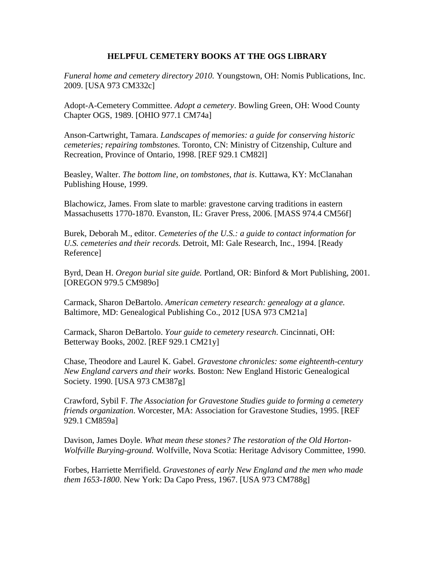## **HELPFUL CEMETERY BOOKS AT THE OGS LIBRARY**

*Funeral home and cemetery directory 2010.* Youngstown, OH: Nomis Publications, Inc. 2009. [USA 973 CM332c]

Adopt-A-Cemetery Committee. *Adopt a cemetery*. Bowling Green, OH: Wood County Chapter OGS, 1989. [OHIO 977.1 CM74a]

Anson-Cartwright, Tamara. *Landscapes of memories: a guide for conserving historic cemeteries; repairing tombstones.* Toronto, CN: Ministry of Citzenship, Culture and Recreation, Province of Ontario, 1998. [REF 929.1 CM82l]

Beasley, Walter. *The bottom line, on tombstones, that is*. Kuttawa, KY: McClanahan Publishing House, 1999.

Blachowicz, James. From slate to marble: gravestone carving traditions in eastern Massachusetts 1770-1870. Evanston, IL: Graver Press, 2006. [MASS 974.4 CM56f]

Burek, Deborah M., editor. *Cemeteries of the U.S.: a guide to contact information for U.S. cemeteries and their records.* Detroit, MI: Gale Research, Inc., 1994. [Ready Reference]

Byrd, Dean H. *Oregon burial site guide.* Portland, OR: Binford & Mort Publishing, 2001. [OREGON 979.5 CM989o]

Carmack, Sharon DeBartolo. *American cemetery research: genealogy at a glance.* Baltimore, MD: Genealogical Publishing Co., 2012 [USA 973 CM21a]

Carmack, Sharon DeBartolo. *Your guide to cemetery research*. Cincinnati, OH: Betterway Books, 2002. [REF 929.1 CM21y]

Chase, Theodore and Laurel K. Gabel. *Gravestone chronicles: some eighteenth-century New England carvers and their works.* Boston: New England Historic Genealogical Society. 1990. [USA 973 CM387g]

Crawford, Sybil F. *The Association for Gravestone Studies guide to forming a cemetery friends organization*. Worcester, MA: Association for Gravestone Studies, 1995. [REF 929.1 CM859a]

Davison, James Doyle. *What mean these stones? The restoration of the Old Horton-Wolfville Burying-ground.* Wolfville, Nova Scotia: Heritage Advisory Committee, 1990.

Forbes, Harriette Merrifield. *Gravestones of early New England and the men who made them 1653-1800*. New York: Da Capo Press, 1967. [USA 973 CM788g]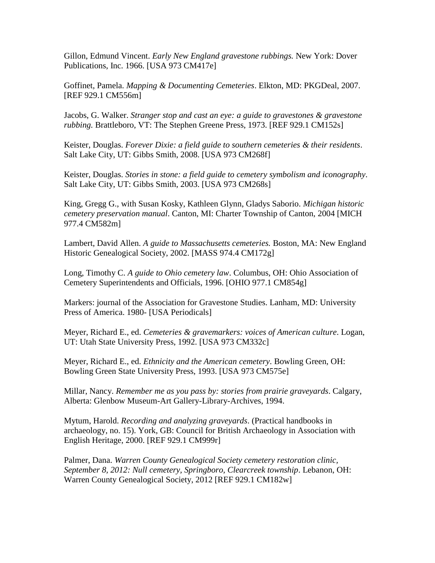Gillon, Edmund Vincent. *Early New England gravestone rubbings.* New York: Dover Publications, Inc. 1966. [USA 973 CM417e]

Goffinet, Pamela. *Mapping & Documenting Cemeteries*. Elkton, MD: PKGDeal, 2007. [REF 929.1 CM556m]

Jacobs, G. Walker. *Stranger stop and cast an eye: a guide to gravestones & gravestone rubbing.* Brattleboro, VT: The Stephen Greene Press, 1973. [REF 929.1 CM152s]

Keister, Douglas. *Forever Dixie: a field guide to southern cemeteries & their residents*. Salt Lake City, UT: Gibbs Smith, 2008. [USA 973 CM268f]

Keister, Douglas. *Stories in stone: a field guide to cemetery symbolism and iconography*. Salt Lake City, UT: Gibbs Smith, 2003. [USA 973 CM268s]

King, Gregg G., with Susan Kosky, Kathleen Glynn, Gladys Saborio. *Michigan historic cemetery preservation manual*. Canton, MI: Charter Township of Canton, 2004 [MICH 977.4 CM582m]

Lambert, David Allen. *A guide to Massachusetts cemeteries.* Boston, MA: New England Historic Genealogical Society, 2002. [MASS 974.4 CM172g]

Long, Timothy C. *A guide to Ohio cemetery law*. Columbus, OH: Ohio Association of Cemetery Superintendents and Officials, 1996. [OHIO 977.1 CM854g]

Markers: journal of the Association for Gravestone Studies. Lanham, MD: University Press of America. 1980- [USA Periodicals]

Meyer, Richard E., ed. *Cemeteries & gravemarkers: voices of American culture*. Logan, UT: Utah State University Press, 1992. [USA 973 CM332c]

Meyer, Richard E., ed. *Ethnicity and the American cemetery*. Bowling Green, OH: Bowling Green State University Press, 1993. [USA 973 CM575e]

Millar, Nancy. *Remember me as you pass by: stories from prairie graveyards*. Calgary, Alberta: Glenbow Museum-Art Gallery-Library-Archives, 1994.

Mytum, Harold. *Recording and analyzing graveyards*. (Practical handbooks in archaeology, no. 15). York, GB: Council for British Archaeology in Association with English Heritage, 2000. [REF 929.1 CM999r]

Palmer, Dana. *Warren County Genealogical Society cemetery restoration clinic, September 8, 2012: Null cemetery, Springboro, Clearcreek township*. Lebanon, OH: Warren County Genealogical Society, 2012 [REF 929.1 CM182w]